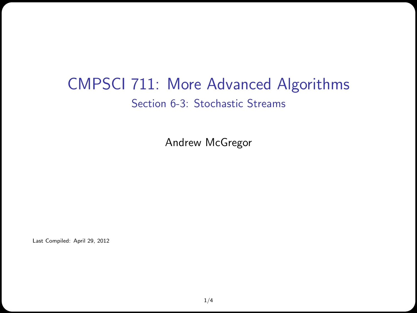## CMPSCI 711: More Advanced Algorithms Section 6-3: Stochastic Streams

Andrew McGregor

Last Compiled: April 29, 2012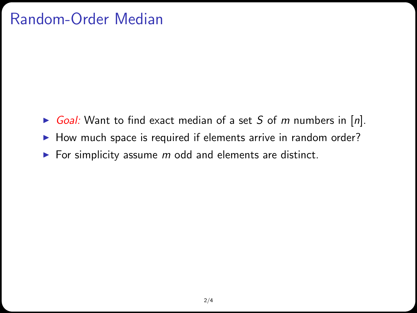## Random-Order Median

- Goal: Want to find exact median of a set S of m numbers in  $[n]$ .
- $\blacktriangleright$  How much space is required if elements arrive in random order?
- For simplicity assume  $m$  odd and elements are distinct.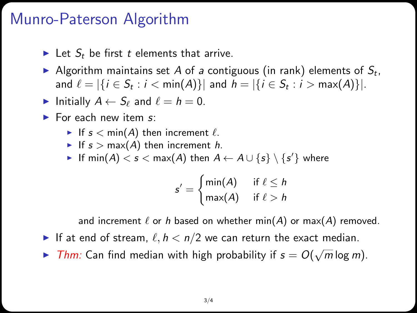## Munro-Paterson Algorithm

- In Let  $S_t$  be first t elements that arrive.
- Algorithm maintains set A of a contiguous (in rank) elements of  $S_t$ , and  $\ell = |\{i \in S_t : i < \min(A)\}|$  and  $h = |\{i \in S_t : i > \max(A)\}|$ .
- Initially  $A \leftarrow S_\ell$  and  $\ell = h = 0$ .
- $\blacktriangleright$  For each new item s:
	- If  $s < min(A)$  then increment  $\ell$ .
	- If  $s > max(A)$  then increment h.
	- ► If  $\mathsf{min}(A) < s < \mathsf{max}(A)$  then  $A \leftarrow A \cup \{s\} \setminus \{s'\}$  where

$$
s' = \begin{cases} \min(A) & \text{if } \ell \leq h \\ \max(A) & \text{if } \ell > h \end{cases}
$$

and increment  $\ell$  or h based on whether min(A) or max(A) removed.

- If at end of stream,  $\ell, h < n/2$  we can return the exact median.
- **IF Thm:** Can find median with high probability if  $s = O(\sqrt{m} \log m)$ .